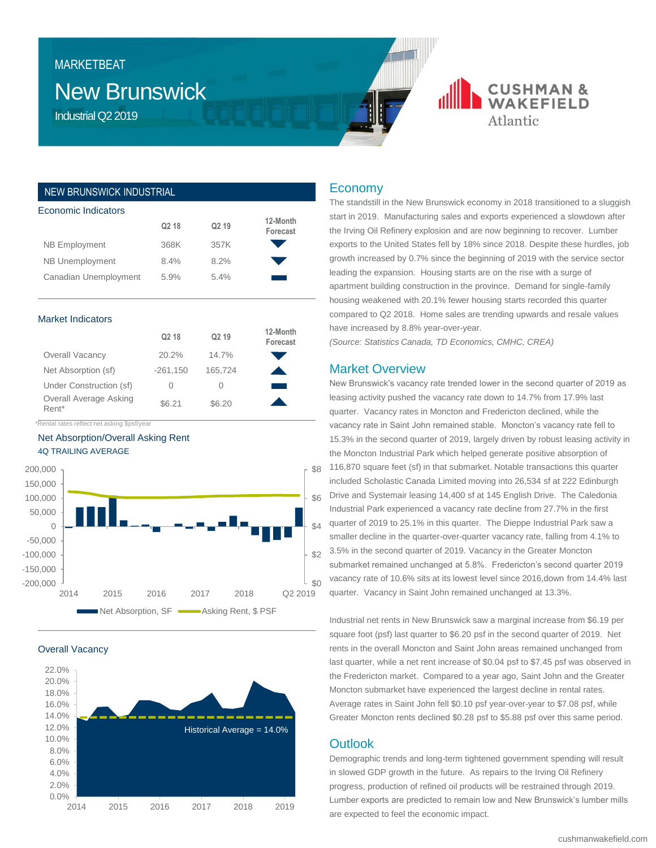# New Brunswick MARKETBEAT

Industrial Q2 2019

## **CUSHMAN & WAKFFIFLD** Atlantic

#### NEW BRUNSWICK INDUSTRIAL

| Q <sub>2</sub> 18 | Q <sub>2</sub> 19 | 12-Month<br>Forecast |
|-------------------|-------------------|----------------------|
| 368K              | 357K              |                      |
| 8.4%              | 8.2%              |                      |
| 5.9%              | 5.4%              |                      |
|                   |                   |                      |

#### Market Indicators

|                                             | Q <sub>2</sub> 18 | Q <sub>2</sub> 19 | 12-Month<br>Forecast |
|---------------------------------------------|-------------------|-------------------|----------------------|
| <b>Overall Vacancy</b>                      | 20.2%             | 14.7%             |                      |
| Net Absorption (sf)                         | $-261,150$        | 165,724           |                      |
| Under Construction (sf)                     | $\left( \right)$  |                   |                      |
| Overall Average Asking<br>Rent*             | \$6.21            | \$6.20            |                      |
| *Rental rates reflect net asking \$psf/year |                   |                   |                      |





Overall Vacancy



#### Economy

The standstill in the New Brunswick economy in 2018 transitioned to a sluggish start in 2019. Manufacturing sales and exports experienced a slowdown after the Irving Oil Refinery explosion and are now beginning to recover. Lumber exports to the United States fell by 18% since 2018. Despite these hurdles, job growth increased by 0.7% since the beginning of 2019 with the service sector leading the expansion. Housing starts are on the rise with a surge of apartment building construction in the province. Demand for single-family housing weakened with 20.1% fewer housing starts recorded this quarter compared to Q2 2018. Home sales are trending upwards and resale values have increased by 8.8% year-over-year.

*(Source: Statistics Canada, TD Economics, CMHC, CREA)*

### Market Overview

New Brunswick's vacancy rate trended lower in the second quarter of 2019 as leasing activity pushed the vacancy rate down to 14.7% from 17.9% last quarter. Vacancy rates in Moncton and Fredericton declined, while the vacancy rate in Saint John remained stable. Moncton's vacancy rate fell to 15.3% in the second quarter of 2019, largely driven by robust leasing activity in the Moncton Industrial Park which helped generate positive absorption of 116,870 square feet (sf) in that submarket. Notable transactions this quarter included Scholastic Canada Limited moving into 26,534 sf at 222 Edinburgh Drive and Systemair leasing 14,400 sf at 145 English Drive. The Caledonia Industrial Park experienced a vacancy rate decline from 27.7% in the first quarter of 2019 to 25.1% in this quarter. The Dieppe Industrial Park saw a smaller decline in the quarter-over-quarter vacancy rate, falling from 4.1% to 3.5% in the second quarter of 2019. Vacancy in the Greater Moncton submarket remained unchanged at 5.8%. Fredericton's second quarter 2019 vacancy rate of 10.6% sits at its lowest level since 2016,down from 14.4% last quarter. Vacancy in Saint John remained unchanged at 13.3%.

Industrial net rents in New Brunswick saw a marginal increase from \$6.19 per square foot (psf) last quarter to \$6.20 psf in the second quarter of 2019. Net rents in the overall Moncton and Saint John areas remained unchanged from last quarter, while a net rent increase of \$0.04 psf to \$7.45 psf was observed in the Fredericton market. Compared to a year ago, Saint John and the Greater Moncton submarket have experienced the largest decline in rental rates. Average rates in Saint John fell \$0.10 psf year-over-year to \$7.08 psf, while Greater Moncton rents declined \$0.28 psf to \$5.88 psf over this same period.

### **Outlook**

Demographic trends and long-term tightened government spending will result in slowed GDP growth in the future. As repairs to the Irving Oil Refinery progress, production of refined oil products will be restrained through 2019. Lumber exports are predicted to remain low and New Brunswick's lumber mills are expected to feel the economic impact.